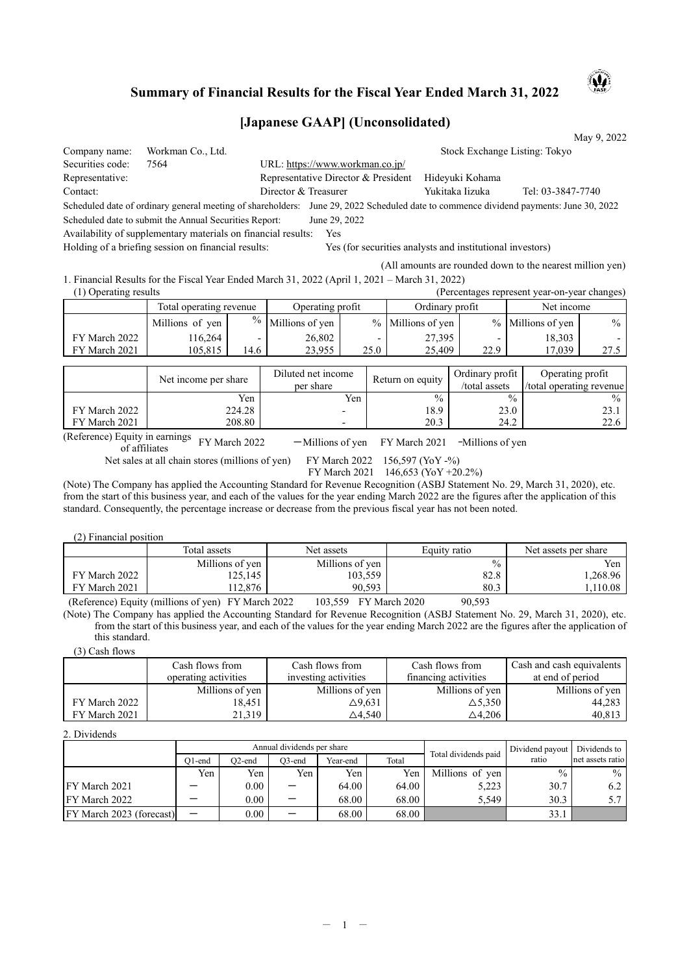## **Summary of Financial Results for the Fiscal Year Ended March 31, 2022**

## **[Japanese GAAP] (Unconsolidated)**

|                       |                                                                                                |                                                                                                 |                                     |               |                                                           |                               |                                                                           | May 9, 2022   |  |
|-----------------------|------------------------------------------------------------------------------------------------|-------------------------------------------------------------------------------------------------|-------------------------------------|---------------|-----------------------------------------------------------|-------------------------------|---------------------------------------------------------------------------|---------------|--|
| Company name:         | Workman Co., Ltd.                                                                              |                                                                                                 |                                     |               |                                                           | Stock Exchange Listing: Tokyo |                                                                           |               |  |
| Securities code:      | 7564                                                                                           |                                                                                                 | URL: https://www.workman.co.jp/     |               |                                                           |                               |                                                                           |               |  |
| Representative:       |                                                                                                |                                                                                                 | Representative Director & President |               |                                                           | Hideyuki Kohama               |                                                                           |               |  |
| Contact:              |                                                                                                |                                                                                                 | Director & Treasurer                |               |                                                           | Yukitaka Iizuka               | Tel: 03-3847-7740                                                         |               |  |
|                       | Scheduled date of ordinary general meeting of shareholders:                                    |                                                                                                 |                                     |               |                                                           |                               | June 29, 2022 Scheduled date to commence dividend payments: June 30, 2022 |               |  |
|                       | Scheduled date to submit the Annual Securities Report:                                         |                                                                                                 | June 29, 2022                       |               |                                                           |                               |                                                                           |               |  |
|                       | Availability of supplementary materials on financial results:                                  |                                                                                                 | Yes                                 |               |                                                           |                               |                                                                           |               |  |
|                       | Holding of a briefing session on financial results:                                            |                                                                                                 |                                     |               | Yes (for securities analysts and institutional investors) |                               |                                                                           |               |  |
|                       |                                                                                                |                                                                                                 |                                     |               |                                                           |                               | (All amounts are rounded down to the nearest million yen)                 |               |  |
|                       | 1. Financial Results for the Fiscal Year Ended March 31, 2022 (April 1, 2021 – March 31, 2022) |                                                                                                 |                                     |               |                                                           |                               |                                                                           |               |  |
| (1) Operating results |                                                                                                |                                                                                                 |                                     |               |                                                           |                               | (Percentages represent year-on-year changes)                              |               |  |
|                       | Total operating revenue                                                                        |                                                                                                 | Operating profit                    |               | Ordinary profit                                           |                               | Net income                                                                |               |  |
|                       | Millions of yen                                                                                | $\frac{0}{0}$                                                                                   | Millions of yen                     | $\frac{0}{0}$ | Millions of yen                                           | $\frac{0}{0}$                 | Millions of yen                                                           | $\frac{0}{0}$ |  |
| FY March 2022         | 116,264                                                                                        | $\overline{\phantom{0}}$                                                                        | 26,802                              |               | 27,395                                                    |                               | 18,303                                                                    |               |  |
| FY March 2021         | 105,815                                                                                        | 14.6                                                                                            | 23,955                              | 25.0          | 25,409                                                    | 22.9                          | 17,039                                                                    | 27.5          |  |
|                       |                                                                                                |                                                                                                 |                                     |               |                                                           |                               |                                                                           |               |  |
|                       | Max to a concern and theme                                                                     | Ordinary profit<br>Diluted net income<br>Operating profit<br>$\mathbf{D}$ advance a second data |                                     |               |                                                           |                               |                                                                           |               |  |

|               | Net income per share | Diluted net income<br>per share | Return on equity | Ordinary profit<br>/total assets | Operating profit<br>total operating revenue |
|---------------|----------------------|---------------------------------|------------------|----------------------------------|---------------------------------------------|
|               | Yen                  | Yen                             | $\%$             | $\frac{0}{0}$                    | $\frac{0}{0}$                               |
| FY March 2022 | 224.28               |                                 | 18.9             | 23.0                             | 23.1                                        |
| FY March 2021 | 208.80               | -                               | 20.3             | 24.2                             | 22.6                                        |
| $\sqrt{D}$    |                      |                                 |                  |                                  |                                             |

(Reference) Equity in earnings<br>of affiliates<br>of affiliates  $-Millions of yen$  FY March 2021 -Millions of yen<br>FY March 2022 156,597 (YoY -%)

Net sales at all chain stores (millions of yen)

FY March 2021 146,653 (YoY +20.2%)

(Note) The Company has applied the Accounting Standard for Revenue Recognition (ASBJ Statement No. 29, March 31, 2020), etc. from the start of this business year, and each of the values for the year ending March 2022 are the figures after the application of this standard. Consequently, the percentage increase or decrease from the previous fiscal year has not been noted.

(2) Financial position

|               | Total assets    | Net assets      | Equity ratio  | Net assets per share |
|---------------|-----------------|-----------------|---------------|----------------------|
|               | Millions of yen | Millions of yen | $\frac{0}{0}$ | Yen                  |
| FY March 2022 | 125,145         | 103,559         | 82.8          | ۔ 268.96. ا          |
| FY March 2021 | 112.876         | 90.593          | 80.3          | ,110.08              |
| $  -$         | .<br>$\sim$     |                 | ------        |                      |

(Reference) Equity (millions of yen) FY March 2022 103,559 FY March 2020 90,593

(Note) The Company has applied the Accounting Standard for Revenue Recognition (ASBJ Statement No. 29, March 31, 2020), etc. from the start of this business year, and each of the values for the year ending March 2022 are the figures after the application of this standard.

(3) Cash flows

|               | Cash flows from      | Cash flows from      | Cash flows from      | Cash and cash equivalents |
|---------------|----------------------|----------------------|----------------------|---------------------------|
|               | operating activities | investing activities | financing activities | at end of period          |
|               | Millions of yen      | Millions of yen      | Millions of yen      | Millions of yen           |
| FY March 2022 | 18.451               | ∆9,631               | $\triangle$ 5.350    | 44,283                    |
| FY March 2021 | 21.319               | △4.540               | $\triangle$ 4.206    | 40,813                    |

2. Dividends

|                          |                          |          | Annual dividends per share |          |       | Total dividends paid | Dividend payout | Dividends to     |
|--------------------------|--------------------------|----------|----------------------------|----------|-------|----------------------|-----------------|------------------|
|                          | O1-end                   | O2-end   | $O3$ -end                  | Year-end | Total |                      | ratio           | net assets ratio |
|                          | Yen                      | Yen      | Yen                        | Yen      | Yen   | Millions of yen      | $\frac{0}{0}$   | $\%$             |
| <b>IFY March 2021</b>    |                          | $0.00\,$ | —                          | 64.00    | 64.00 | 5,223                | 30.7            | 6.2              |
| IFY March 2022           |                          | $0.00\,$ | $\overline{\phantom{0}}$   | 68.00    | 68.00 | 5.549                | 30.3            | 571              |
| FY March 2023 (forecast) | $\overline{\phantom{0}}$ | 0.00     | —                          | 68.00    | 68.00 |                      | 33.1            |                  |

AQ)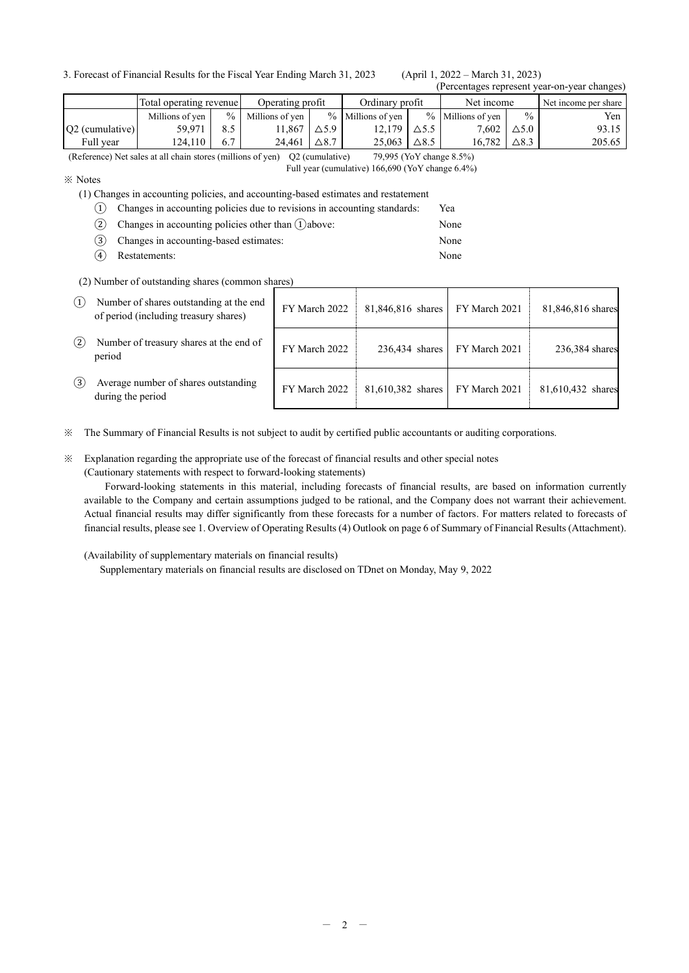3. Forecast of Financial Results for the Fiscal Year Ending March 31, 2023 (April 1, 2022 – March 31, 2023)

# (Percentages represent year-on-year changes)

| $\mu$ or contages represent $\mu$ can only can enumple, |                         |      |                  |              |                     |              |                     |                 |                      |
|---------------------------------------------------------|-------------------------|------|------------------|--------------|---------------------|--------------|---------------------|-----------------|----------------------|
|                                                         | Total operating revenue |      | Operating profit |              | Ordinary profit     |              | Net income          |                 | Net income per share |
|                                                         | Millions of ven         | $\%$ | Millions of ven  |              | $%$ Millions of ven |              | $%$ Millions of ven | $\frac{0}{0}$   | Yen                  |
| $ O2$ (cumulative)                                      | 59.971                  |      | 1.867            | $\Delta$ 5.9 | 12.179              | ∆5.5         | 7.602               | $\Delta$ 5.0    | 93.15                |
| Full year                                               | 124.110                 | 6.7  | 24.461           | $\Delta$ 8.7 | 25.063              | $\Delta$ 8.5 | 16.782              | $\triangle$ 8.3 | 205.65               |

(Reference) Net sales at all chain stores (millions of yen) Q2 (cumulative) 79,995 (YoY change 8.5%)

Full year (cumulative) 166,690 (YoY change 6.4%)

※ Notes

(1) Changes in accounting policies, and accounting-based estimates and restatement

| Changes in accounting policies, and accounting-based estimates and restatement |      |
|--------------------------------------------------------------------------------|------|
| (1) Changes in accounting policies due to revisions in accounting standards:   | Yea  |
| (2) Changes in accounting policies other than $(1)$ above:                     | None |
| (3) Changes in accounting-based estimates:                                     | None |

④ Restatements: None

(2) Number of outstanding shares (common shares)

| $\left(1\right)$ | Number of shares outstanding at the end<br>of period (including treasury shares) | FY March 2022 | 81,846,816 shares | FY March 2021 | 81,846,816 shares |
|------------------|----------------------------------------------------------------------------------|---------------|-------------------|---------------|-------------------|
| (2)              | Number of treasury shares at the end of<br>period                                | FY March 2022 | 236,434 shares    | FY March 2021 | 236,384 shares    |
| (3)              | Average number of shares outstanding<br>during the period                        | FY March 2022 | 81,610,382 shares | FY March 2021 | 81,610,432 shares |

※ The Summary of Financial Results is not subject to audit by certified public accountants or auditing corporations.

#### ※ Explanation regarding the appropriate use of the forecast of financial results and other special notes (Cautionary statements with respect to forward-looking statements)

Forward-looking statements in this material, including forecasts of financial results, are based on information currently available to the Company and certain assumptions judged to be rational, and the Company does not warrant their achievement. Actual financial results may differ significantly from these forecasts for a number of factors. For matters related to forecasts of financial results, please see 1. Overview of Operating Results (4) Outlook on page 6 of Summary of Financial Results (Attachment).

(Availability of supplementary materials on financial results)

Supplementary materials on financial results are disclosed on TDnet on Monday, May 9, 2022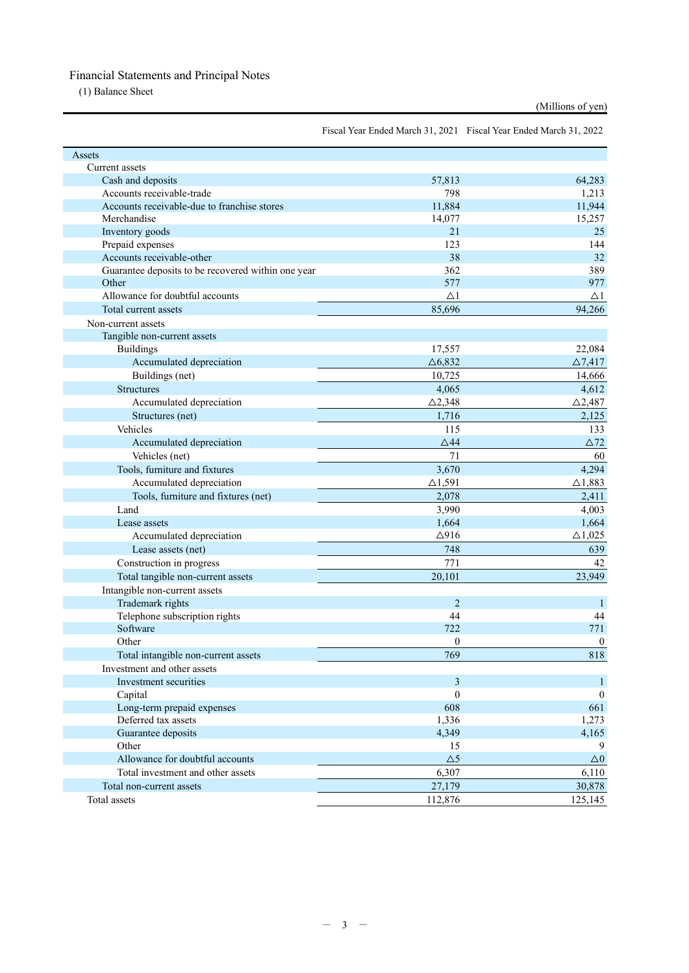## Financial Statements and Principal Notes

(1) Balance Sheet

```
(Millions of yen)
```
Fiscal Year Ended March 31, 2021 Fiscal Year Ended March 31, 2022

| Assets                                             |                   |                   |
|----------------------------------------------------|-------------------|-------------------|
| Current assets                                     |                   |                   |
| Cash and deposits                                  | 57,813            | 64,283            |
| Accounts receivable-trade                          | 798               | 1,213             |
| Accounts receivable-due to franchise stores        | 11,884            | 11,944            |
| Merchandise                                        | 14,077            | 15,257            |
| Inventory goods                                    | 21                | 25                |
| Prepaid expenses                                   | 123               | 144               |
| Accounts receivable-other                          | 38                | 32                |
| Guarantee deposits to be recovered within one year | 362               | 389               |
| Other                                              | 577               | 977               |
| Allowance for doubtful accounts                    | $\triangle$ 1     | $\Delta 1$        |
| Total current assets                               | 85,696            | 94,266            |
| Non-current assets                                 |                   |                   |
| Tangible non-current assets                        |                   |                   |
| <b>Buildings</b>                                   | 17,557            | 22,084            |
| Accumulated depreciation                           | $\triangle 6,832$ | $\triangle 7,417$ |
| Buildings (net)                                    | 10,725            | 14,666            |
| Structures                                         | 4,065             | 4,612             |
| Accumulated depreciation                           | $\triangle$ 2,348 | $\triangle$ 2,487 |
| Structures (net)                                   | 1,716             | 2,125             |
| Vehicles                                           | 115               | 133               |
| Accumulated depreciation                           | $\triangle$ 44    | $\Delta72$        |
| Vehicles (net)                                     | 71                | 60                |
| Tools, furniture and fixtures                      | 3,670             | 4,294             |
| Accumulated depreciation                           | $\triangle$ 1,591 | $\triangle$ 1,883 |
| Tools, furniture and fixtures (net)                | 2,078             | 2,411             |
| Land                                               | 3,990             | 4,003             |
| Lease assets                                       | 1,664             | 1,664             |
| Accumulated depreciation                           | $\Delta$ 916      | $\triangle$ 1,025 |
| Lease assets (net)                                 | 748               | 639               |
| Construction in progress                           | 771               | 42                |
| Total tangible non-current assets                  | 20,101            | 23,949            |
| Intangible non-current assets                      |                   |                   |
| Trademark rights                                   | $\overline{2}$    | $\mathbf{1}$      |
| Telephone subscription rights                      | 44                | 44                |
| Software                                           | 722               | 771               |
| Other                                              | 0                 | $\mathbf{0}$      |
|                                                    | 769               | 818               |
| Total intangible non-current assets                |                   |                   |
| Investment and other assets                        |                   |                   |
| Investment securities                              | 3<br>$\mathbf{0}$ | 1                 |
| Capital                                            |                   | $\mathbf{0}$      |
| Long-term prepaid expenses<br>Deferred tax assets  | 608               | 661               |
|                                                    | 1,336             | 1,273             |
| Guarantee deposits                                 | 4,349             | 4,165             |
| Other<br>Allowance for doubtful accounts           | 15                | 9                 |
|                                                    | $\Delta 5$        | $\Delta 0$        |
| Total investment and other assets                  | 6,307             | 6,110             |
| Total non-current assets                           | 27,179            | 30,878            |
| Total assets                                       | 112,876           | 125,145           |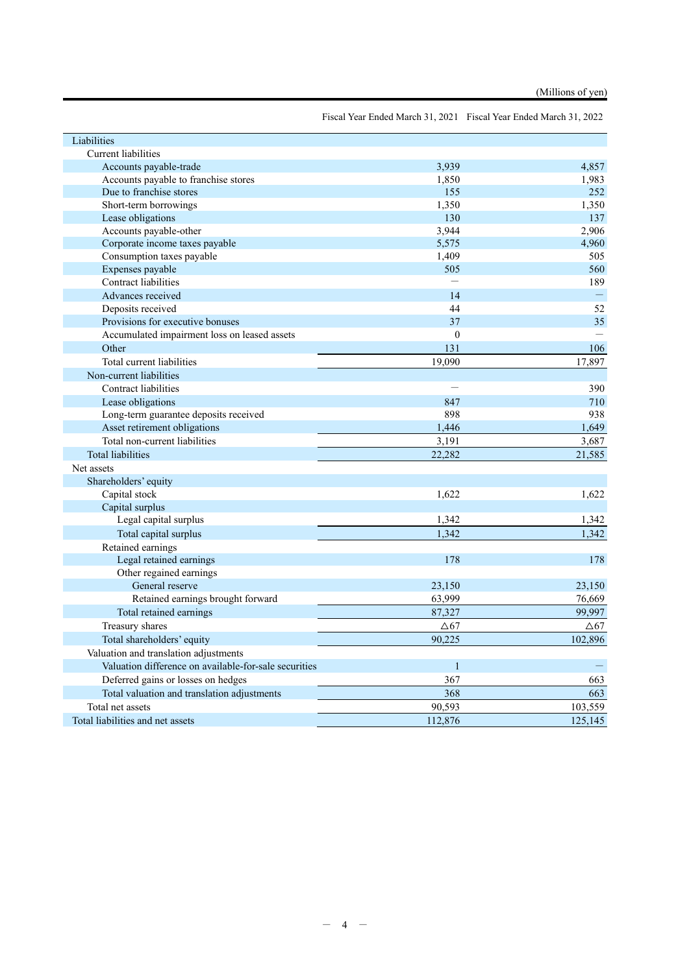Fiscal Year Ended March 31, 2021 Fiscal Year Ended March 31, 2022

| Liabilities                                           |              |          |
|-------------------------------------------------------|--------------|----------|
| Current liabilities                                   |              |          |
| Accounts payable-trade                                | 3,939        | 4.857    |
| Accounts payable to franchise stores                  | 1,850        | 1,983    |
| Due to franchise stores                               | 155          | 252      |
| Short-term borrowings                                 | 1,350        | 1,350    |
| Lease obligations                                     | 130          | 137      |
| Accounts payable-other                                | 3,944        | 2,906    |
| Corporate income taxes payable                        | 5,575        | 4,960    |
| Consumption taxes payable                             | 1,409        | 505      |
| Expenses payable                                      | 505          | 560      |
| Contract liabilities                                  |              | 189      |
| Advances received                                     | 14           | $\equiv$ |
| Deposits received                                     | 44           | 52       |
| Provisions for executive bonuses                      | 37           | 35       |
| Accumulated impairment loss on leased assets          | $\theta$     |          |
| Other                                                 | 131          | 106      |
| Total current liabilities                             | 19.090       | 17,897   |
| Non-current liabilities                               |              |          |
| Contract liabilities                                  |              | 390      |
| Lease obligations                                     | 847          | 710      |
| Long-term guarantee deposits received                 | 898          | 938      |
| Asset retirement obligations                          | 1,446        | 1,649    |
| Total non-current liabilities                         | 3,191        | 3,687    |
| <b>Total liabilities</b>                              | 22,282       | 21,585   |
| Net assets                                            |              |          |
| Shareholders' equity                                  |              |          |
| Capital stock                                         | 1,622        | 1,622    |
| Capital surplus                                       |              |          |
| Legal capital surplus                                 | 1,342        | 1,342    |
| Total capital surplus                                 | 1,342        | 1.342    |
| Retained earnings                                     |              |          |
| Legal retained earnings                               | 178          | 178      |
| Other regained earnings                               |              |          |
| General reserve                                       | 23,150       | 23,150   |
| Retained earnings brought forward                     | 63,999       | 76,669   |
| Total retained earnings                               | 87,327       | 99.997   |
| Treasury shares                                       | $\Delta 67$  | ∆67      |
| Total shareholders' equity                            | 90,225       | 102,896  |
| Valuation and translation adjustments                 |              |          |
| Valuation difference on available-for-sale securities | $\mathbf{1}$ |          |
|                                                       | 367          |          |
| Deferred gains or losses on hedges                    | 368          | 663      |
| Total valuation and translation adjustments           |              | 663      |
| Total net assets                                      | 90,593       | 103,559  |
| Total liabilities and net assets                      | 112,876      | 125,145  |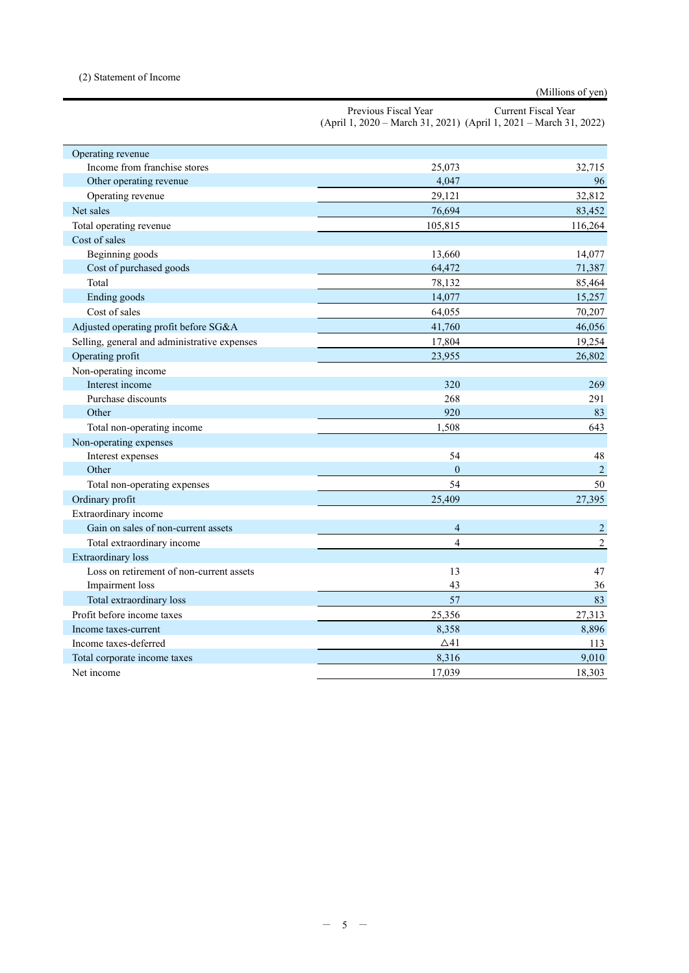#### (2) Statement of Income

### (Millions of yen)

| Previous Fiscal Year | Current Fiscal Year                                                   |
|----------------------|-----------------------------------------------------------------------|
|                      | $(April 1, 2020 - March 31, 2021)$ $(April 1, 2021 - March 31, 2022)$ |

| Operating revenue                            |                |                |
|----------------------------------------------|----------------|----------------|
| Income from franchise stores                 | 25,073         | 32,715         |
| Other operating revenue                      | 4,047          | 96             |
| Operating revenue                            | 29,121         | 32,812         |
| Net sales                                    | 76,694         | 83,452         |
| Total operating revenue                      | 105,815        | 116,264        |
| Cost of sales                                |                |                |
| Beginning goods                              | 13,660         | 14,077         |
| Cost of purchased goods                      | 64,472         | 71,387         |
| Total                                        | 78,132         | 85,464         |
| Ending goods                                 | 14,077         | 15,257         |
| Cost of sales                                | 64,055         | 70,207         |
| Adjusted operating profit before SG&A        | 41,760         | 46,056         |
| Selling, general and administrative expenses | 17,804         | 19,254         |
| Operating profit                             | 23,955         | 26,802         |
| Non-operating income                         |                |                |
| Interest income                              | 320            | 269            |
| Purchase discounts                           | 268            | 291            |
| Other                                        | 920            | 83             |
| Total non-operating income                   | 1,508          | 643            |
| Non-operating expenses                       |                |                |
| Interest expenses                            | 54             | 48             |
| Other                                        | $\mathbf{0}$   | $\overline{2}$ |
| Total non-operating expenses                 | 54             | 50             |
| Ordinary profit                              | 25,409         | 27,395         |
| Extraordinary income                         |                |                |
| Gain on sales of non-current assets          | 4              | $\overline{c}$ |
| Total extraordinary income                   | $\overline{4}$ | $\sqrt{2}$     |
| <b>Extraordinary</b> loss                    |                |                |
| Loss on retirement of non-current assets     | 13             | 47             |
| Impairment loss                              | 43             | 36             |
| Total extraordinary loss                     | 57             | 83             |
| Profit before income taxes                   | 25,356         | 27,313         |
| Income taxes-current                         | 8,358          | 8,896          |
| Income taxes-deferred                        | $\triangle$ 41 | 113            |
| Total corporate income taxes                 | 8,316          | 9,010          |
| Net income                                   | 17.039         | 18,303         |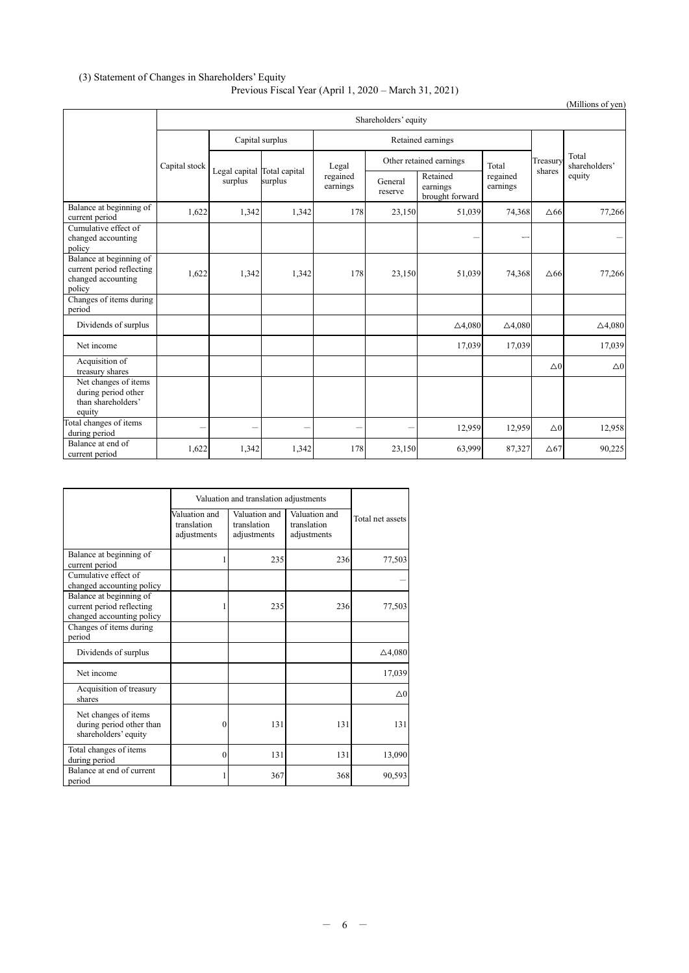#### (3) Statement of Changes in Shareholders' Equity

#### Previous Fiscal Year (April 1, 2020 – March 31, 2021)

|                                                                                      |                      |                 |                                        |                               |                         |                                         |                      |                          | (Millions of yen)      |
|--------------------------------------------------------------------------------------|----------------------|-----------------|----------------------------------------|-------------------------------|-------------------------|-----------------------------------------|----------------------|--------------------------|------------------------|
|                                                                                      | Shareholders' equity |                 |                                        |                               |                         |                                         |                      |                          |                        |
|                                                                                      |                      | Capital surplus |                                        | Retained earnings             |                         |                                         |                      |                          |                        |
|                                                                                      | Capital stock        |                 | Legal capital Total capital<br>surplus | Legal<br>regained<br>earnings | Other retained earnings |                                         | Total                | Treasury                 | Total<br>shareholders' |
|                                                                                      |                      | surplus         |                                        |                               | General<br>reserve      | Retained<br>earnings<br>brought forward | regained<br>earnings | shares                   | equity                 |
| Balance at beginning of<br>current period                                            | 1,622                | 1,342           | 1,342                                  | 178                           | 23,150                  | 51,039                                  | 74,368               | $\Delta$ 66              | 77,266                 |
| Cumulative effect of<br>changed accounting<br>policy                                 |                      |                 |                                        |                               |                         |                                         |                      |                          |                        |
| Balance at beginning of<br>current period reflecting<br>changed accounting<br>policy | 1,622                | 1,342           | 1,342                                  | 178                           | 23,150                  | 51,039                                  | 74,368               | $\Delta 66$              | 77,266                 |
| Changes of items during<br>period                                                    |                      |                 |                                        |                               |                         |                                         |                      |                          |                        |
| Dividends of surplus                                                                 |                      |                 |                                        |                               |                         | $\triangle 4,080$                       | $\triangle 4,080$    |                          | $\triangle 4,080$      |
| Net income                                                                           |                      |                 |                                        |                               |                         | 17,039                                  | 17,039               |                          | 17,039                 |
| Acquisition of<br>treasury shares                                                    |                      |                 |                                        |                               |                         |                                         |                      | $\triangle$ <sup>0</sup> | $\triangle 0$          |
| Net changes of items<br>during period other<br>than shareholders'<br>equity          |                      |                 |                                        |                               |                         |                                         |                      |                          |                        |
| Total changes of items<br>during period                                              | -                    |                 |                                        | -                             |                         | 12,959                                  | 12,959               | $\triangle$ <sup>0</sup> | 12,958                 |
| Balance at end of<br>current period                                                  | 1,622                | 1,342           | 1,342                                  | 178                           | 23,150                  | 63,999                                  | 87,327               | $\Delta 67$              | 90,225                 |

|                                                                                   | Valuation and translation adjustments       |                                             |                                             |                          |
|-----------------------------------------------------------------------------------|---------------------------------------------|---------------------------------------------|---------------------------------------------|--------------------------|
|                                                                                   | Valuation and<br>translation<br>adjustments | Valuation and<br>translation<br>adjustments | Valuation and<br>translation<br>adjustments | Total net assets         |
| Balance at beginning of<br>current period                                         |                                             | 235                                         | 236                                         | 77,503                   |
| Cumulative effect of<br>changed accounting policy                                 |                                             |                                             |                                             |                          |
| Balance at beginning of<br>current period reflecting<br>changed accounting policy |                                             | 235                                         | 236                                         | 77,503                   |
| Changes of items during<br>period                                                 |                                             |                                             |                                             |                          |
| Dividends of surplus                                                              |                                             |                                             |                                             | $\triangle$ 4,080        |
| Net income                                                                        |                                             |                                             |                                             | 17,039                   |
| Acquisition of treasury<br>shares                                                 |                                             |                                             |                                             | $\triangle$ <sup>0</sup> |
| Net changes of items<br>during period other than<br>shareholders' equity          | 0                                           | 131                                         | 131                                         | 131                      |
| Total changes of items<br>during period                                           | $\theta$                                    | 131                                         | 131                                         | 13,090                   |
| Balance at end of current<br>period                                               |                                             | 367                                         | 368                                         | 90,593                   |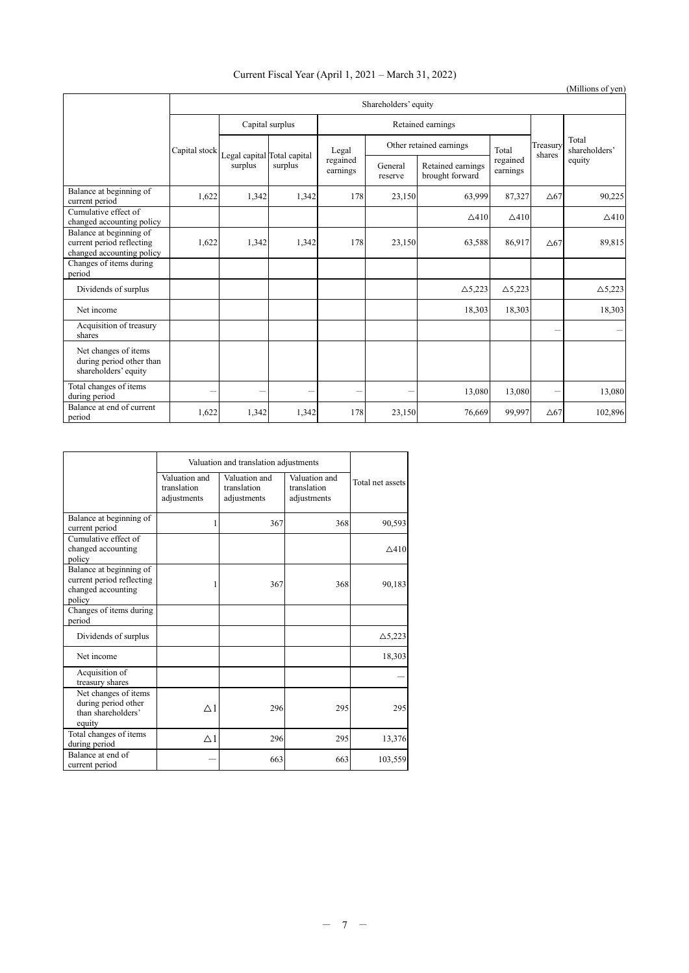## Current Fiscal Year (April 1, 2021 – March 31, 2022)

|                                                                                   |                      |                                        |         |                               |                         |                                      |                      |             | (Millions of yen)      |
|-----------------------------------------------------------------------------------|----------------------|----------------------------------------|---------|-------------------------------|-------------------------|--------------------------------------|----------------------|-------------|------------------------|
|                                                                                   | Shareholders' equity |                                        |         |                               |                         |                                      |                      |             |                        |
|                                                                                   |                      | Capital surplus                        |         | Retained earnings             |                         |                                      |                      |             |                        |
|                                                                                   | Capital stock        | Legal capital Total capital<br>surplus | surplus | Legal<br>regained<br>earnings | Other retained earnings |                                      | Total                | Treasury    | Total<br>shareholders' |
|                                                                                   |                      |                                        |         |                               | General<br>reserve      | Retained earnings<br>brought forward | regained<br>earnings | shares      | equity                 |
| Balance at beginning of<br>current period                                         | 1,622                | 1,342                                  | 1,342   | 178                           | 23,150                  | 63,999                               | 87,327               | $\Delta$ 67 | 90,225                 |
| Cumulative effect of<br>changed accounting policy                                 |                      |                                        |         |                               |                         | $\triangle$ 410                      | $\triangle$ 410      |             | $\triangle$ 410        |
| Balance at beginning of<br>current period reflecting<br>changed accounting policy | 1,622                | 1,342                                  | 1,342   | 178                           | 23,150                  | 63,588                               | 86.917               | $\Delta$ 67 | 89,815                 |
| Changes of items during<br>period                                                 |                      |                                        |         |                               |                         |                                      |                      |             |                        |
| Dividends of surplus                                                              |                      |                                        |         |                               |                         | $\triangle$ 5,223                    | $\triangle$ 5,223    |             | $\triangle$ 5,223      |
| Net income                                                                        |                      |                                        |         |                               |                         | 18,303                               | 18,303               |             | 18,303                 |
| Acquisition of treasury<br>shares                                                 |                      |                                        |         |                               |                         |                                      |                      | -           |                        |
| Net changes of items<br>during period other than<br>shareholders' equity          |                      |                                        |         |                               |                         |                                      |                      |             |                        |
| Total changes of items<br>during period                                           |                      | -                                      |         | -                             |                         | 13,080                               | 13,080               | -           | 13,080                 |
| Balance at end of current<br>period                                               | 1,622                | 1,342                                  | 1,342   | 178                           | 23,150                  | 76,669                               | 99,997               | $\Delta$ 67 | 102,896                |

|                                                                                      | Valuation and translation adjustments       |                                             |                                             |                   |
|--------------------------------------------------------------------------------------|---------------------------------------------|---------------------------------------------|---------------------------------------------|-------------------|
|                                                                                      | Valuation and<br>translation<br>adjustments | Valuation and<br>translation<br>adjustments | Valuation and<br>translation<br>adjustments | Total net assets  |
| Balance at beginning of<br>current period                                            | 1                                           | 367                                         | 368                                         | 90,593            |
| Cumulative effect of<br>changed accounting<br>policy                                 |                                             |                                             |                                             | $\triangle$ 410   |
| Balance at beginning of<br>current period reflecting<br>changed accounting<br>policy | 1                                           | 367                                         | 368                                         | 90,183            |
| Changes of items during<br>period                                                    |                                             |                                             |                                             |                   |
| Dividends of surplus                                                                 |                                             |                                             |                                             | $\triangle$ 5,223 |
| Net income                                                                           |                                             |                                             |                                             | 18,303            |
| Acquisition of<br>treasury shares                                                    |                                             |                                             |                                             |                   |
| Net changes of items<br>during period other<br>than shareholders'<br>equity          | $\triangle$ 1                               | 296                                         | 295                                         | 295               |
| Total changes of items<br>during period                                              | $\triangle$ 1                               | 296                                         | 295                                         | 13,376            |
| Balance at end of<br>current period                                                  |                                             | 663                                         | 663                                         | 103,559           |